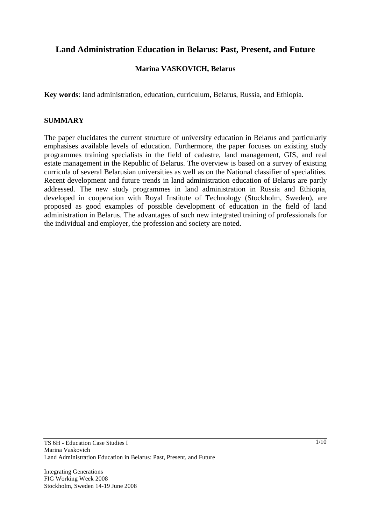# **Land Administration Education in Belarus: Past, Present, and Future**

# **Marina VASKOVICH, Belarus**

**Key words**: land administration, education, curriculum, Belarus, Russia, and Ethiopia.

#### **SUMMARY**

The paper elucidates the current structure of university education in Belarus and particularly emphasises available levels of education. Furthermore, the paper focuses on existing study programmes training specialists in the field of cadastre, land management, GIS, and real estate management in the Republic of Belarus. The overview is based on a survey of existing curricula of several Belarusian universities as well as on the National classifier of specialities. Recent development and future trends in land administration education of Belarus are partly addressed. The new study programmes in land administration in Russia and Ethiopia, developed in cooperation with Royal Institute of Technology (Stockholm, Sweden), are proposed as good examples of possible development of education in the field of land administration in Belarus. The advantages of such new integrated training of professionals for the individual and employer, the profession and society are noted.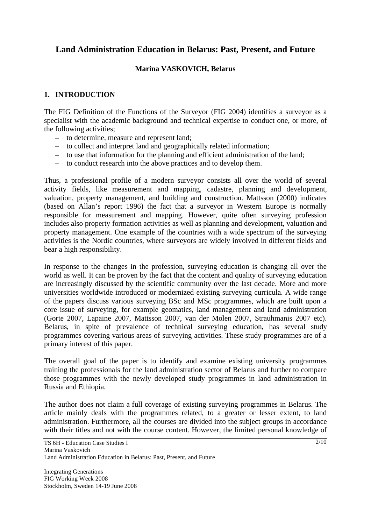# **Land Administration Education in Belarus: Past, Present, and Future**

#### **Marina VASKOVICH, Belarus**

# **1. INTRODUCTION**

The FIG Definition of the Functions of the Surveyor (FIG 2004) identifies a surveyor as a specialist with the academic background and technical expertise to conduct one, or more, of the following activities;

- to determine, measure and represent land;
- to collect and interpret land and geographically related information;
- to use that information for the planning and efficient administration of the land;
- to conduct research into the above practices and to develop them.

Thus, a professional profile of a modern surveyor consists all over the world of several activity fields, like measurement and mapping, cadastre, planning and development, valuation, property management, and building and construction. Mattsson (2000) indicates (based on Allan's report 1996) the fact that a surveyor in Western Europe is normally responsible for measurement and mapping. However, quite often surveying profession includes also property formation activities as well as planning and development, valuation and property management. One example of the countries with a wide spectrum of the surveying activities is the Nordic countries, where surveyors are widely involved in different fields and bear a high responsibility.

In response to the changes in the profession, surveying education is changing all over the world as well. It can be proven by the fact that the content and quality of surveying education are increasingly discussed by the scientific community over the last decade. More and more universities worldwide introduced or modernized existing surveying curricula. A wide range of the papers discuss various surveying BSc and MSc programmes, which are built upon a core issue of surveying, for example geomatics, land management and land administration (Gorte 2007, Lapaine 2007, Mattsson 2007, van der Molen 2007, Strauhmanis 2007 etc). Belarus, in spite of prevalence of technical surveying education, has several study programmes covering various areas of surveying activities. These study programmes are of a primary interest of this paper.

The overall goal of the paper is to identify and examine existing university programmes training the professionals for the land administration sector of Belarus and further to compare those programmes with the newly developed study programmes in land administration in Russia and Ethiopia.

The author does not claim a full coverage of existing surveying programmes in Belarus. The article mainly deals with the programmes related, to a greater or lesser extent, to land administration. Furthermore, all the courses are divided into the subject groups in accordance with their titles and not with the course content. However, the limited personal knowledge of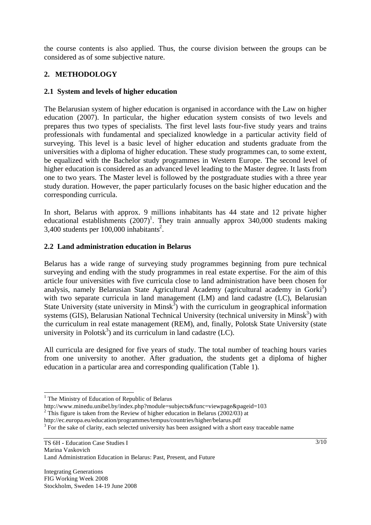the course contents is also applied. Thus, the course division between the groups can be considered as of some subjective nature.

# **2. METHODOLOGY**

# **2.1 System and levels of higher education**

The Belarusian system of higher education is organised in accordance with the Law on higher education (2007). In particular, the higher education system consists of two levels and prepares thus two types of specialists. The first level lasts four-five study years and trains professionals with fundamental and specialized knowledge in a particular activity field of surveying. This level is a basic level of higher education and students graduate from the universities with a diploma of higher education. These study programmes can, to some extent, be equalized with the Bachelor study programmes in Western Europe. The second level of higher education is considered as an advanced level leading to the Master degree. It lasts from one to two years. The Master level is followed by the postgraduate studies with a three year study duration. However, the paper particularly focuses on the basic higher education and the corresponding curricula.

In short, Belarus with approx. 9 millions inhabitants has 44 state and 12 private higher educational establishments  $(2007)^1$ . They train annually approx 340,000 students making  $3,400$  students per 100,000 inhabitants<sup>2</sup>.

# **2.2 Land administration education in Belarus**

Belarus has a wide range of surveying study programmes beginning from pure technical surveying and ending with the study programmes in real estate expertise. For the aim of this article four universities with five curricula close to land administration have been chosen for analysis, namely Belarusian State Agricultural Academy (agricultural academy in Gorki<sup>3</sup>) with two separate curricula in land management (LM) and land cadastre (LC), Belarusian State University (state university in Minsk<sup>3</sup>) with the curriculum in geographical information systems (GIS), Belarusian National Technical University (technical university in Minsk<sup>3</sup>) with the curriculum in real estate management (REM), and, finally, Polotsk State University (state university in Polotsk<sup>3</sup>) and its curriculum in land cadastre  $(LC)$ .

All curricula are designed for five years of study. The total number of teaching hours varies from one university to another. After graduation, the students get a diploma of higher education in a particular area and corresponding qualification (Table 1).

l

<sup>&</sup>lt;sup>1</sup> The Ministry of Education of Republic of Belarus

http://www.minedu.unibel.by/index.php?module=subjects&func=viewpage&pageid=103

 $2$  This figure is taken from the Review of higher education in Belarus (2002/03) at

http://ec.europa.eu/education/programmes/tempus/countries/higher/belarus.pdf

<sup>&</sup>lt;sup>3</sup> For the sake of clarity, each selected university has been assigned with a short easy traceable name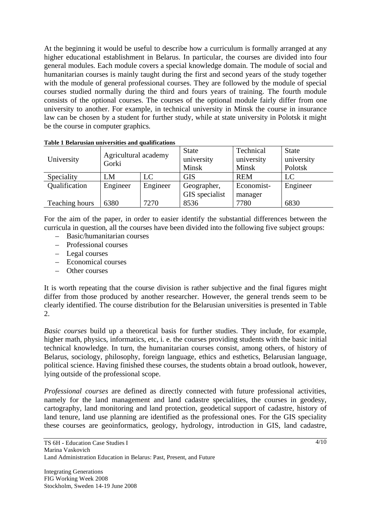At the beginning it would be useful to describe how a curriculum is formally arranged at any higher educational establishment in Belarus. In particular, the courses are divided into four general modules. Each module covers a special knowledge domain. The module of social and humanitarian courses is mainly taught during the first and second years of the study together with the module of general professional courses. They are followed by the module of special courses studied normally during the third and fours years of training. The fourth module consists of the optional courses. The courses of the optional module fairly differ from one university to another. For example, in technical university in Minsk the course in insurance law can be chosen by a student for further study, while at state university in Polotsk it might be the course in computer graphics.

| University     | Agricultural academy<br>Gorki |          | <b>State</b><br>university<br>Minsk | Technical<br>university<br><b>Minsk</b> | <b>State</b><br>university<br>Polotsk |
|----------------|-------------------------------|----------|-------------------------------------|-----------------------------------------|---------------------------------------|
| Speciality     | LM                            | LC       | <b>GIS</b>                          | <b>REM</b>                              | LC                                    |
| Qualification  | Engineer                      | Engineer | Geographer,                         | Economist-                              | Engineer                              |
|                |                               |          | GIS specialist                      | manager                                 |                                       |
| Teaching hours | 6380                          | 7270     | 8536                                | 7780                                    | 6830                                  |

**Table 1 Belarusian universities and qualifications** 

For the aim of the paper, in order to easier identify the substantial differences between the curricula in question, all the courses have been divided into the following five subject groups:

- Basic/humanitarian courses
- Professional courses
- Legal courses
- Economical courses
- Other courses

It is worth repeating that the course division is rather subjective and the final figures might differ from those produced by another researcher. However, the general trends seem to be clearly identified. The course distribution for the Belarusian universities is presented in Table  $2^{\circ}$ 

*Basic courses* build up a theoretical basis for further studies. They include, for example, higher math, physics, informatics, etc, i. e. the courses providing students with the basic initial technical knowledge. In turn, the humanitarian courses consist, among others, of history of Belarus, sociology, philosophy, foreign language, ethics and esthetics, Belarusian language, political science. Having finished these courses, the students obtain a broad outlook, however, lying outside of the professional scope.

*Professional courses* are defined as directly connected with future professional activities, namely for the land management and land cadastre specialities, the courses in geodesy, cartography, land monitoring and land protection, geodetical support of cadastre, history of land tenure, land use planning are identified as the professional ones. For the GIS speciality these courses are geoinformatics, geology, hydrology, introduction in GIS, land cadastre,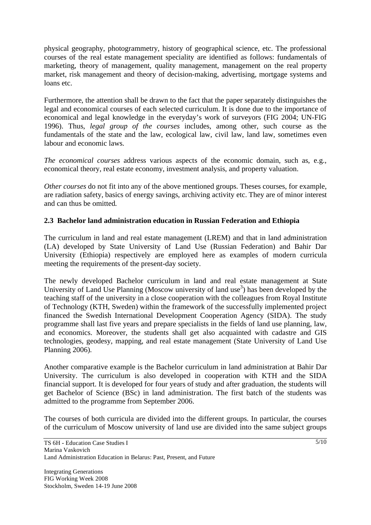physical geography, photogrammetry, history of geographical science, etc. The professional courses of the real estate management speciality are identified as follows: fundamentals of marketing, theory of management, quality management, management on the real property market, risk management and theory of decision-making, advertising, mortgage systems and loans etc.

Furthermore, the attention shall be drawn to the fact that the paper separately distinguishes the legal and economical courses of each selected curriculum. It is done due to the importance of economical and legal knowledge in the everyday's work of surveyors (FIG 2004; UN-FIG 1996). Thus, *legal group of the courses* includes, among other, such course as the fundamentals of the state and the law, ecological law, civil law, land law, sometimes even labour and economic laws.

*The economical courses* address various aspects of the economic domain, such as, e.g., economical theory, real estate economy, investment analysis, and property valuation.

*Other courses* do not fit into any of the above mentioned groups. Theses courses, for example, are radiation safety, basics of energy savings, archiving activity etc. They are of minor interest and can thus be omitted.

# **2.3 Bachelor land administration education in Russian Federation and Ethiopia**

The curriculum in land and real estate management (LREM) and that in land administration (LA) developed by State University of Land Use (Russian Federation) and Bahir Dar University (Ethiopia) respectively are employed here as examples of modern curricula meeting the requirements of the present-day society.

The newly developed Bachelor curriculum in land and real estate management at State University of Land Use Planning (Moscow university of land use<sup>3</sup>) has been developed by the teaching staff of the university in a close cooperation with the colleagues from Royal Institute of Technology (KTH, Sweden) within the framework of the successfully implemented project financed the Swedish International Development Cooperation Agency (SIDA). The study programme shall last five years and prepare specialists in the fields of land use planning, law, and economics. Moreover, the students shall get also acquainted with cadastre and GIS technologies, geodesy, mapping, and real estate management (State University of Land Use Planning 2006).

Another comparative example is the Bachelor curriculum in land administration at Bahir Dar University. The curriculum is also developed in cooperation with KTH and the SIDA financial support. It is developed for four years of study and after graduation, the students will get Bachelor of Science (BSc) in land administration. The first batch of the students was admitted to the programme from September 2006.

The courses of both curricula are divided into the different groups. In particular, the courses of the curriculum of Moscow university of land use are divided into the same subject groups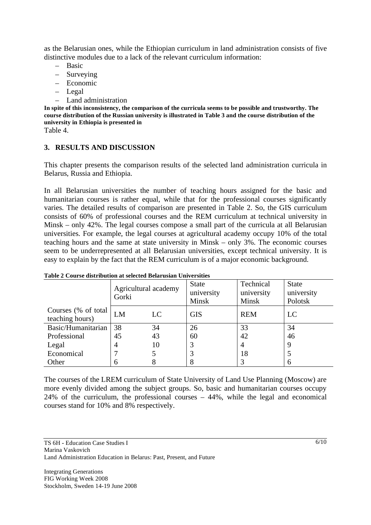as the Belarusian ones, while the Ethiopian curriculum in land administration consists of five distinctive modules due to a lack of the relevant curriculum information:

- Basic
- Surveying
- Economic
- Legal
- Land administration

**In spite of this inconsistency, the comparison of the curricula seems to be possible and trustworthy. The course distribution of the Russian university is illustrated in Table 3 and the course distribution of the university in Ethiopia is presented in** 

Table 4.

#### **3. RESULTS AND DISCUSSION**

This chapter presents the comparison results of the selected land administration curricula in Belarus, Russia and Ethiopia.

In all Belarusian universities the number of teaching hours assigned for the basic and humanitarian courses is rather equal, while that for the professional courses significantly varies. The detailed results of comparison are presented in Table 2. So, the GIS curriculum consists of 60% of professional courses and the REM curriculum at technical university in Minsk – only 42%. The legal courses compose a small part of the curricula at all Belarusian universities. For example, the legal courses at agricultural academy occupy 10% of the total teaching hours and the same at state university in Minsk – only 3%. The economic courses seem to be underrepresented at all Belarusian universities, except technical university. It is easy to explain by the fact that the REM curriculum is of a major economic background.

|                                         | Agricultural academy<br>Gorki |    | <b>State</b><br>university<br>Minsk | Technical<br>university<br>Minsk | <b>State</b><br>university<br>Polotsk |
|-----------------------------------------|-------------------------------|----|-------------------------------------|----------------------------------|---------------------------------------|
| Courses (% of total)<br>teaching hours) | LM                            | LC | <b>GIS</b>                          | <b>REM</b>                       | LC                                    |
| Basic/Humanitarian                      | 38                            | 34 | 26                                  | 33                               | 34                                    |
| Professional                            | 45                            | 43 | 60                                  | 42                               | 46                                    |
| Legal                                   | $\overline{4}$                | 10 | 3                                   | 4                                |                                       |
| Economical                              |                               |    | 3                                   | 18                               |                                       |
| Other                                   | 6                             |    | 8                                   |                                  |                                       |

#### **Table 2 Course distribution at selected Belarusian Universities**

The courses of the LREM curriculum of State University of Land Use Planning (Moscow) are more evenly divided among the subject groups. So, basic and humanitarian courses occupy 24% of the curriculum, the professional courses – 44%, while the legal and economical courses stand for 10% and 8% respectively.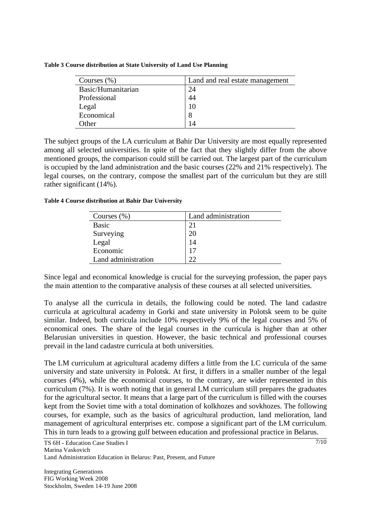| Courses $(\% )$    | Land and real estate management |
|--------------------|---------------------------------|
| Basic/Humanitarian | 24                              |
| Professional       | 44                              |
| Legal              | 10                              |
| Economical         | 8                               |
| Other              | 14                              |

**Table 3 Course distribution at State University of Land Use Planning** 

The subject groups of the LA curriculum at Bahir Dar University are most equally represented among all selected universities. In spite of the fact that they slightly differ from the above mentioned groups, the comparison could still be carried out. The largest part of the curriculum is occupied by the land administration and the basic courses (22% and 21% respectively). The legal courses, on the contrary, compose the smallest part of the curriculum but they are still rather significant (14%).

**Table 4 Course distribution at Bahir Dar University** 

| Courses $(\% )$     | Land administration |
|---------------------|---------------------|
| <b>Basic</b>        | 21                  |
| Surveying           | 20                  |
| Legal               | 14                  |
| Economic            | 17                  |
| Land administration | つつ                  |

Since legal and economical knowledge is crucial for the surveying profession, the paper pays the main attention to the comparative analysis of these courses at all selected universities.

To analyse all the curricula in details, the following could be noted. The land cadastre curricula at agricultural academy in Gorki and state university in Polotsk seem to be quite similar. Indeed, both curricula include 10% respectively 9% of the legal courses and 5% of economical ones. The share of the legal courses in the curricula is higher than at other Belarusian universities in question. However, the basic technical and professional courses prevail in the land cadastre curricula at both universities.

The LM curriculum at agricultural academy differs a little from the LC curricula of the same university and state university in Polotsk. At first, it differs in a smaller number of the legal courses (4%), while the economical courses, to the contrary, are wider represented in this curriculum (7%). It is worth noting that in general LM curriculum still prepares the graduates for the agricultural sector. It means that a large part of the curriculum is filled with the courses kept from the Soviet time with a total domination of kolkhozes and sovkhozes. The following courses, for example, such as the basics of agricultural production, land melioration, land management of agricultural enterprises etc. compose a significant part of the LM curriculum. This in turn leads to a growing gulf between education and professional practice in Belarus.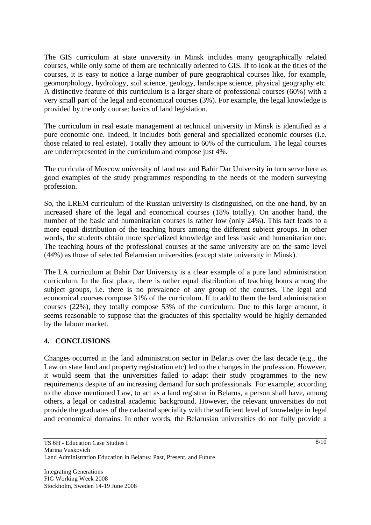The GIS curriculum at state university in Minsk includes many geographically related courses, while only some of them are technically oriented to GIS. If to look at the titles of the courses, it is easy to notice a large number of pure geographical courses like, for example, geomorphology, hydrology, soil science, geology, landscape science, physical geography etc. A distinctive feature of this curriculum is a larger share of professional courses (60%) with a very small part of the legal and economical courses (3%). For example, the legal knowledge is provided by the only course: basics of land legislation.

The curriculum in real estate management at technical university in Minsk is identified as a pure economic one. Indeed, it includes both general and specialized economic courses (i.e. those related to real estate). Totally they amount to 60% of the curriculum. The legal courses are underrepresented in the curriculum and compose just 4%.

The curricula of Moscow university of land use and Bahir Dar University in turn serve here as good examples of the study programmes responding to the needs of the modern surveying profession.

So, the LREM curriculum of the Russian university is distinguished, on the one hand, by an increased share of the legal and economical courses (18% totally). On another hand, the number of the basic and humanitarian courses is rather low (only 24%). This fact leads to a more equal distribution of the teaching hours among the different subject groups. In other words, the students obtain more specialized knowledge and less basic and humanitarian one. The teaching hours of the professional courses at the same university are on the same level (44%) as those of selected Belarusian universities (except state university in Minsk).

The LA curriculum at Bahir Dar University is a clear example of a pure land administration curriculum. In the first place, there is rather equal distribution of teaching hours among the subject groups, i.e. there is no prevalence of any group of the courses. The legal and economical courses compose 31% of the curriculum. If to add to them the land administration courses (22%), they totally compose 53% of the curriculum. Due to this large amount, it seems reasonable to suppose that the graduates of this speciality would be highly demanded by the labour market.

#### **4. CONCLUSIONS**

Changes occurred in the land administration sector in Belarus over the last decade (e.g., the Law on state land and property registration etc) led to the changes in the profession. However, it would seem that the universities failed to adapt their study programmes to the new requirements despite of an increasing demand for such professionals. For example, according to the above mentioned Law, to act as a land registrar in Belarus, a person shall have, among others, a legal or cadastral academic background. However, the relevant universities do not provide the graduates of the cadastral speciality with the sufficient level of knowledge in legal and economical domains. In other words, the Belarusian universities do not fully provide a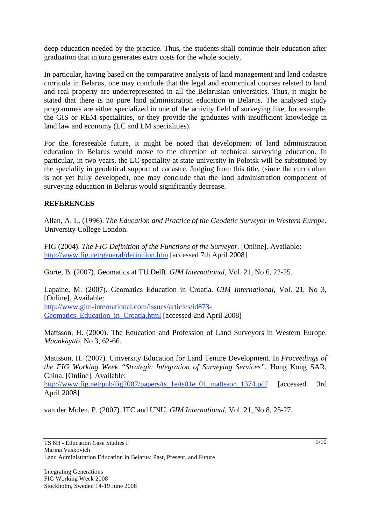deep education needed by the practice. Thus, the students shall continue their education after graduation that in turn generates extra costs for the whole society.

In particular, having based on the comparative analysis of land management and land cadastre curricula in Belarus, one may conclude that the legal and economical courses related to land and real property are underrepresented in all the Belarusian universities. Thus, it might be stated that there is no pure land administration education in Belarus. The analysed study programmes are either specialized in one of the activity field of surveying like, for example, the GIS or REM specialities, or they provide the graduates with insufficient knowledge in land law and economy (LC and LM specialities).

For the foreseeable future, it might be noted that development of land administration education in Belarus would move to the direction of technical surveying education. In particular, in two years, the LC speciality at state university in Polotsk will be substituted by the speciality in geodetical support of cadastre. Judging from this title, (since the curriculum is not yet fully developed), one may conclude that the land administration component of surveying education in Belarus would significantly decrease.

#### **REFERENCES**

Allan, A. L. (1996). *The Education and Practice of the Geodetic Surveyor in Western Europe*. University College London.

FIG (2004). *The FIG Definition of the Functions of the Surveyor*. [Online]. Available: http://www.fig.net/general/definition.htm [accessed 7th April 2008]

Gorte, B. (2007). Geomatics at TU Delft. *GIM International*, Vol. 21, No 6, 22-25.

Lapaine, M. (2007). Geomatics Education in Croatia. *GIM International*, Vol. 21, No 3, [Online]. Available:

http://www.gim-international.com/issues/articles/id873- Geomatics\_Education\_in\_Croatia.html [accessed 2nd April 2008]

Mattsson, H. (2000). The Education and Profession of Land Surveyors in Western Europe. *Maankäyttö*, No 3, 62-66.

Mattsson, H. (2007). University Education for Land Tenure Development. In *Proceedings of the FIG Working Week "Strategic Integration of Surveying Services"*. Hong Kong SAR, China. [Online]. Available:

http://www.fig.net/pub/fig2007/papers/ts\_1e/ts01e\_01\_mattsson\_1374.pdf [accessed 3rd] April 2008]

van der Molen, P. (2007). ITC and UNU. *GIM International*, Vol. 21, No 8, 25-27.